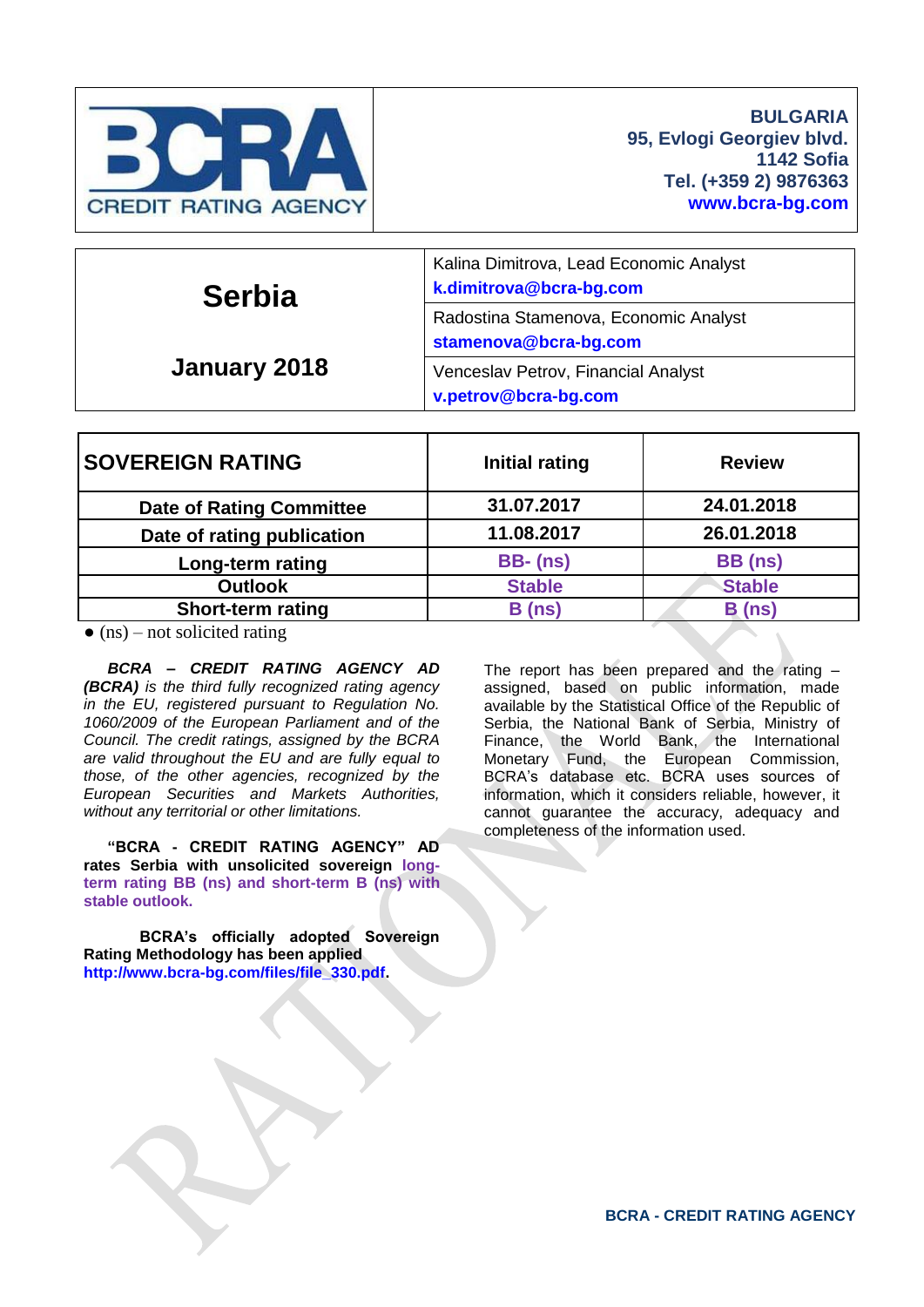

| <b>Serbia</b><br>January 2018 | Kalina Dimitrova, Lead Economic Analyst<br>k.dimitrova@bcra-bg.com |  |  |  |
|-------------------------------|--------------------------------------------------------------------|--|--|--|
|                               | Radostina Stamenova, Economic Analyst<br>stamenova@bcra-bg.com     |  |  |  |
|                               | Venceslav Petrov, Financial Analyst<br>v.petrov@bcra-bg.com        |  |  |  |

| <b>SOVEREIGN RATING</b>         | Initial rating  | <b>Review</b> |
|---------------------------------|-----------------|---------------|
| <b>Date of Rating Committee</b> | 31.07.2017      | 24.01.2018    |
| Date of rating publication      | 11.08.2017      | 26.01.2018    |
| Long-term rating                | <b>BB-</b> (ns) | BB (ns)       |
| <b>Outlook</b>                  | <b>Stable</b>   | <b>Stable</b> |
| <b>Short-term rating</b>        | B(ns)           | B(ns)         |

 $\bullet$  (ns) – not solicited rating

*BCRA – CREDIT RATING AGENCY AD (BCRA) is the third fully recognized rating agency in the EU, registered pursuant to Regulation No. 1060/2009 of the European Parliament and of the Council. The credit ratings, assigned by the BCRA are valid throughout the EU and are fully equal to those, of the other agencies, recognized by the European Securities and Markets Authorities, without any territorial or other limitations.*

**"BCRA - CREDIT RATING AGENCY" AD rates Serbia with unsolicited sovereign longterm rating BB (ns) and short-term B (ns) with stable outlook.**

**BCRA's officially adopted Sovereign Rating Methodology has been applied [http://www.bcra-bg.com/files/file\\_330.pdf.](http://www.bcra-bg.com/files/file_330.pdf)**

The report has been prepared and the rating – assigned, based on public information, made available by the Statistical Office of the Republic of Serbia, the National Bank of Serbia, Ministry of Finance, the World Bank, the International Monetary Fund, the European Commission, BCRA's database etc. BCRA uses sources of information, which it considers reliable, however, it cannot guarantee the accuracy, adequacy and completeness of the information used.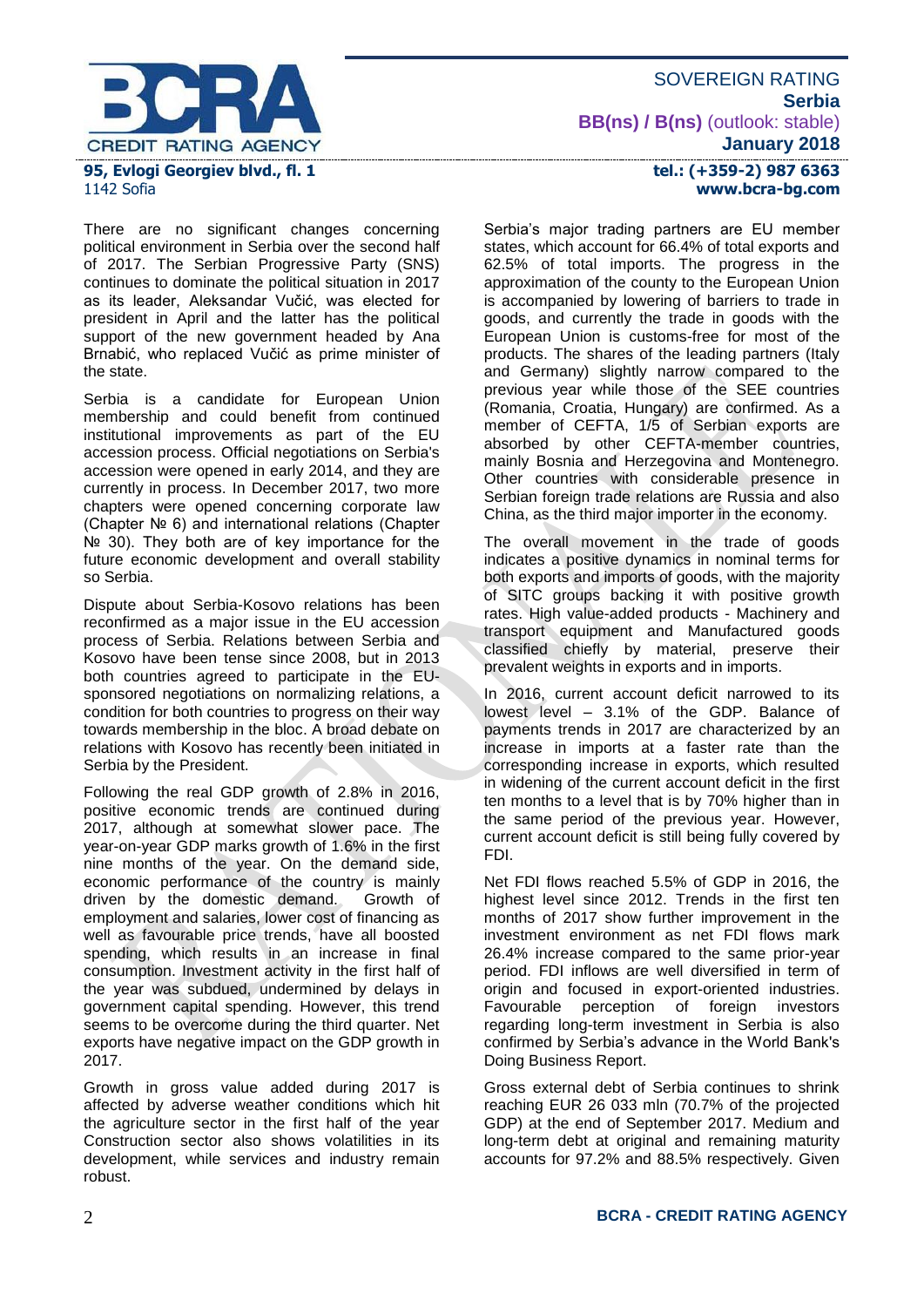

### SOVEREIGN RATING **Serbia BB(ns) / B(ns)** (outlook: stable) **January 2018**

There are no significant changes concerning political environment in Serbia over the second half of 2017. The Serbian Progressive Party (SNS)

continues to dominate the political situation in 2017 as its leader, Aleksandar Vučić, was elected for president in April and the latter has the political support of the new government headed by Ana Brnabić, who replaced Vučić as prime minister of the state.

Serbia is a candidate for European Union membership and could benefit from continued institutional improvements as part of the EU accession process. Official negotiations on Serbia's accession were opened in early 2014, and they are currently in process. In December 2017, two more chapters were opened concerning corporate law (Chapter № 6) and international relations (Chapter № 30). They both are of key importance for the future economic development and overall stability so Serbia.

Dispute about Serbia-Kosovo relations has been reconfirmed as a major issue in the EU accession process of Serbia. Relations between Serbia and Kosovo have been tense since 2008, but in 2013 both countries agreed to participate in the EUsponsored negotiations on normalizing relations, a condition for both countries to progress on their way towards membership in the bloc. A broad debate on relations with Kosovo has recently been initiated in Serbia by the President.

Following the real GDP growth of 2.8% in 2016, positive economic trends are continued during 2017, although at somewhat slower pace. The year-on-year GDP marks growth of 1.6% in the first nine months of the year. On the demand side, economic performance of the country is mainly driven by the domestic demand. Growth of employment and salaries, lower cost of financing as well as favourable price trends, have all boosted spending, which results in an increase in final consumption. Investment activity in the first half of the year was subdued, undermined by delays in government capital spending. However, this trend seems to be overcome during the third quarter. Net exports have negative impact on the GDP growth in 2017.

Growth in gross value added during 2017 is affected by adverse weather conditions which hit the agriculture sector in the first half of the year Construction sector also shows volatilities in its development, while services and industry remain robust.

### **tel.: (+359-2) 987 6363 www.bcra-bg.com**

Serbia's major trading partners are EU member states, which account for 66.4% of total exports and 62.5% of total imports. The progress in the approximation of the county to the European Union is accompanied by lowering of barriers to trade in goods, and currently the trade in goods with the European Union is customs-free for most of the products. The shares of the leading partners (Italy and Germany) slightly narrow compared to the previous year while those of the SEE countries (Romania, Croatia, Hungary) are confirmed. As a member of CEFTA, 1/5 of Serbian exports are absorbed by other CEFTA-member countries, mainly Bosnia and Herzegovina and Montenegro. Other countries with considerable presence in Serbian foreign trade relations are Russia and also China, as the third major importer in the economy.

The overall movement in the trade of goods indicates a positive dynamics in nominal terms for both exports and imports of goods, with the majority of SITC groups backing it with positive growth rates. High value-added products - Machinery and transport equipment and Manufactured goods classified chiefly by material, preserve their prevalent weights in exports and in imports.

In 2016, current account deficit narrowed to its lowest level – 3.1% of the GDP. Balance of payments trends in 2017 are characterized by an increase in imports at a faster rate than the corresponding increase in exports, which resulted in widening of the current account deficit in the first ten months to a level that is by 70% higher than in the same period of the previous year. However, current account deficit is still being fully covered by FDI.

Net FDI flows reached 5.5% of GDP in 2016, the highest level since 2012. Trends in the first ten months of 2017 show further improvement in the investment environment as net FDI flows mark 26.4% increase compared to the same prior-year period. FDI inflows are well diversified in term of origin and focused in export-oriented industries. Favourable perception of foreign investors regarding long-term investment in Serbia is also confirmed by Serbia's advance in the World Bank's Doing Business Report.

Gross external debt of Serbia continues to shrink reaching EUR 26 033 mln (70.7% of the projected GDP) at the end of September 2017. Medium and long-term debt at original and remaining maturity accounts for 97.2% and 88.5% respectively. Given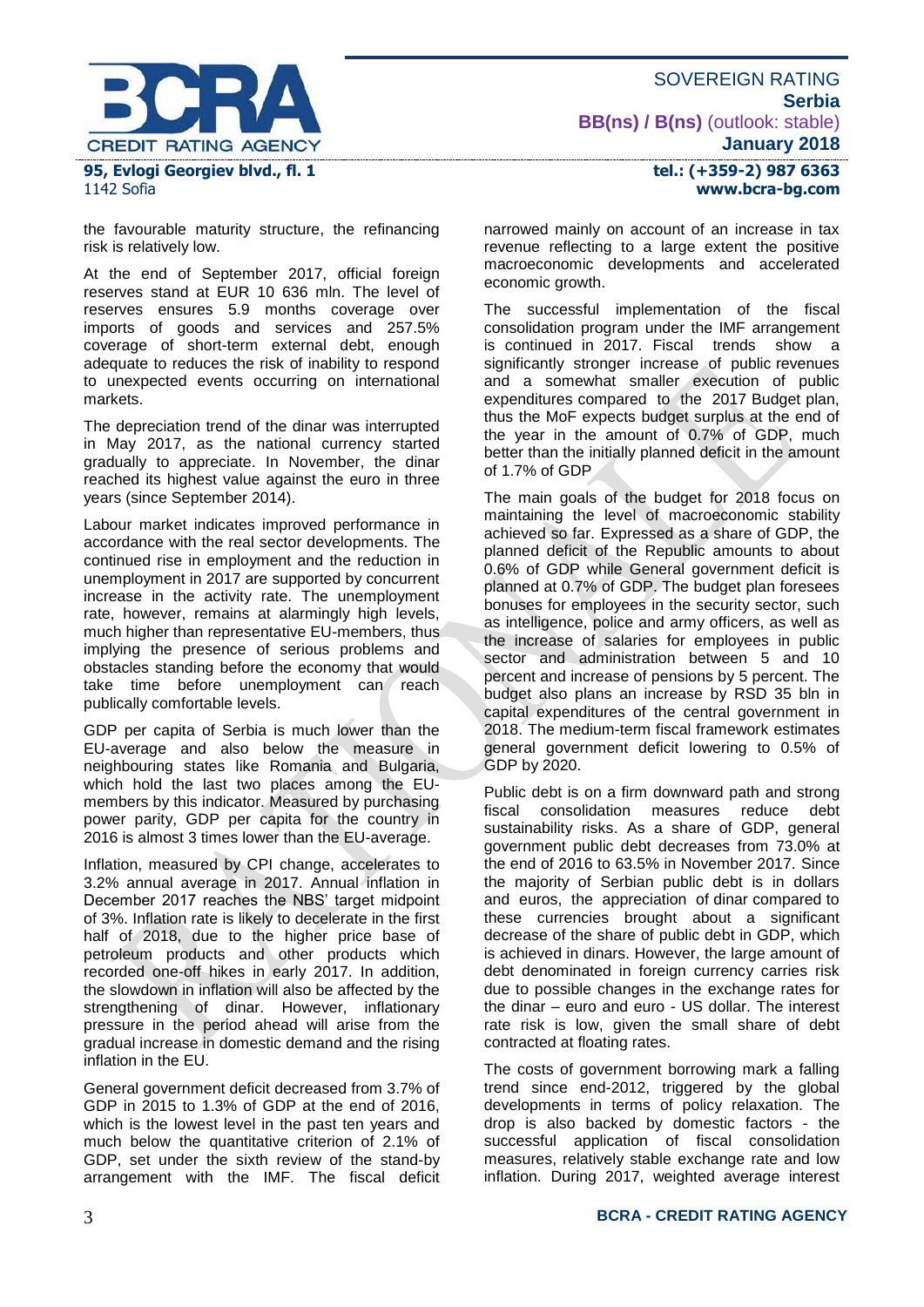

1142 Sofia

the favourable maturity structure, the refinancing risk is relatively low.

At the end of September 2017, official foreign reserves stand at EUR 10 636 mln. The level of reserves ensures 5.9 months coverage over imports of goods and services and 257.5% coverage of short-term external debt, enough adequate to reduces the risk of inability to respond to unexpected events occurring on international markets.

The depreciation trend of the dinar was interrupted in May 2017, as the national currency started gradually to appreciate. In November, the dinar reached its highest value against the euro in three years (since September 2014).

Labour market indicates improved performance in accordance with the real sector developments. The continued rise in employment and the reduction in unemployment in 2017 are supported by concurrent increase in the activity rate. The unemployment rate, however, remains at alarmingly high levels, much higher than representative EU-members, thus implying the presence of serious problems and obstacles standing before the economy that would take time before unemployment can reach publically comfortable levels.

GDP per capita of Serbia is much lower than the EU-average and also below the measure in neighbouring states like Romania and Bulgaria, which hold the last two places among the EUmembers by this indicator. Measured by purchasing power parity, GDP per capita for the country in 2016 is almost 3 times lower than the EU-average.

Inflation, measured by CPI change, accelerates to 3.2% annual average in 2017. Annual inflation in December 2017 reaches the NBS' target midpoint of 3%. Inflation rate is likely to decelerate in the first half of 2018, due to the higher price base of petroleum products and other products which recorded one-off hikes in early 2017. In addition, the slowdown in inflation will also be affected by the strengthening of dinar. However, inflationary pressure in the period ahead will arise from the gradual increase in domestic demand and the rising inflation in the EU.

General government deficit decreased from 3.7% of GDP in 2015 to 1.3% of GDP at the end of 2016, which is the lowest level in the past ten years and much below the quantitative criterion of 2.1% of GDP, set under the sixth review of the stand-by arrangement with the IMF. The fiscal deficit

SOVEREIGN RATING **Serbia BB(ns) / B(ns)** (outlook: stable) **January 2018**

narrowed mainly on account of an increase in tax revenue reflecting to a large extent the positive macroeconomic developments and accelerated economic growth.

The successful implementation of the fiscal consolidation program under the IMF arrangement is continued in 2017. Fiscal trends show a significantly stronger increase of public revenues and a somewhat smaller execution of public expenditures compared to the 2017 Budget plan, thus the MoF expects budget surplus at the end of the year in the amount of 0.7% of GDP, much better than the initially planned deficit in the amount of 1.7% of GDP

The main goals of the budget for 2018 focus on maintaining the level of macroeconomic stability achieved so far. Expressed as a share of GDP, the planned deficit of the Republic amounts to about 0.6% of GDP while General government deficit is planned at 0.7% of GDP. The budget plan foresees bonuses for employees in the security sector, such as intelligence, police and army officers, as well as the increase of salaries for employees in public sector and administration between 5 and 10 percent and increase of pensions by 5 percent. The budget also plans an increase by RSD 35 bln in capital expenditures of the central government in 2018. The medium-term fiscal framework estimates general government deficit lowering to 0.5% of GDP by 2020.

Public debt is on a firm downward path and strong<br>fiscal consolidation measures reduce debt fiscal consolidation measures reduce debt sustainability risks. As a share of GDP, general government public debt decreases from 73.0% at the end of 2016 to 63.5% in November 2017. Since the majority of Serbian public debt is in dollars and euros, the appreciation of dinar compared to these currencies brought about a significant decrease of the share of public debt in GDP, which is achieved in dinars. However, the large amount of debt denominated in foreign currency carries risk due to possible changes in the exchange rates for the dinar – euro and euro - US dollar. The interest rate risk is low, given the small share of debt contracted at floating rates.

The costs of government borrowing mark a falling trend since end-2012, triggered by the global developments in terms of policy relaxation. The drop is also backed by domestic factors - the successful application of fiscal consolidation measures, relatively stable exchange rate and low inflation. During 2017, weighted average interest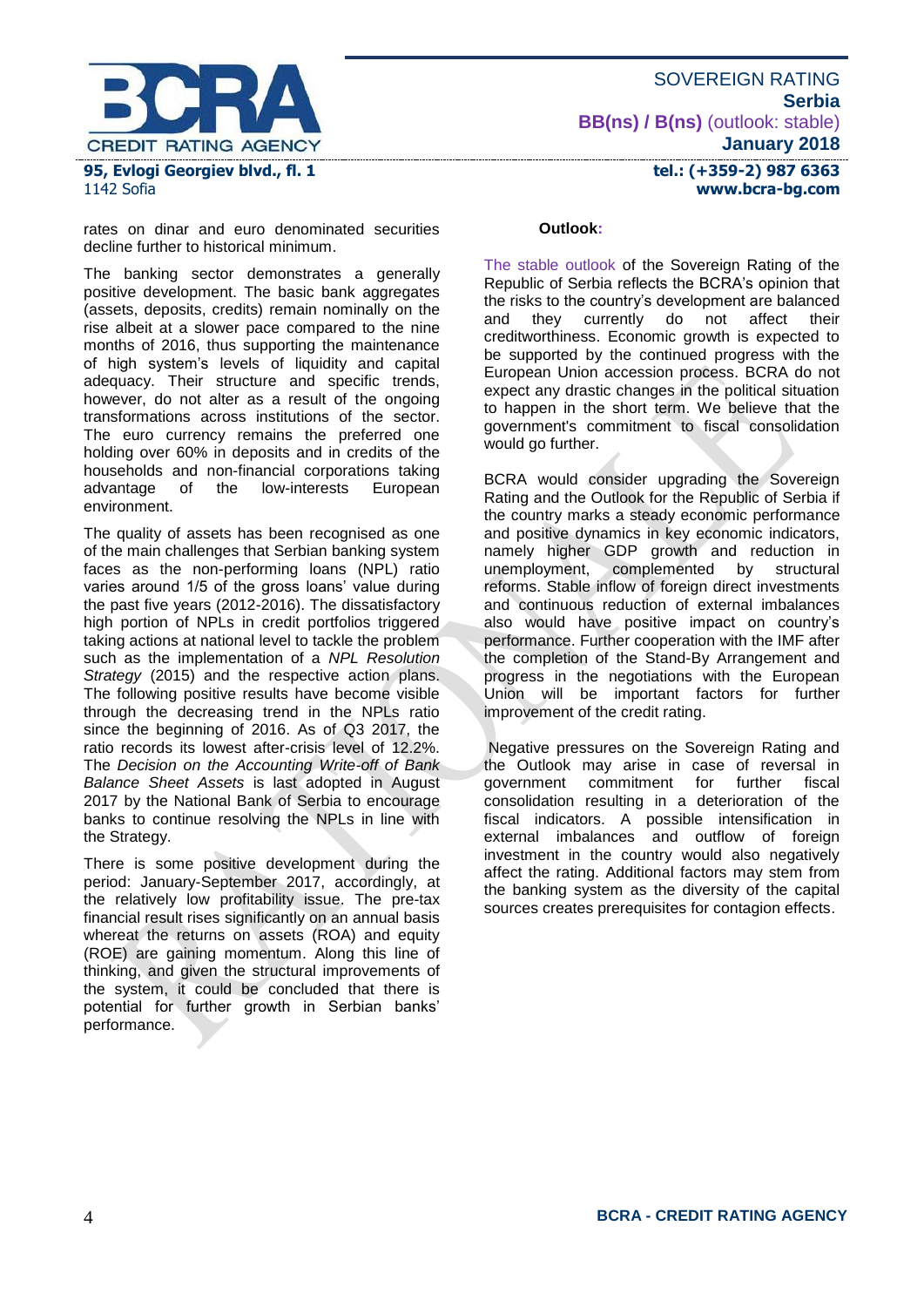

1142 Sofia

rates on dinar and euro denominated securities decline further to historical minimum.

The banking sector demonstrates a generally positive development. The basic bank aggregates (assets, deposits, credits) remain nominally on the rise albeit at a slower pace compared to the nine months of 2016, thus supporting the maintenance of high system's levels of liquidity and capital adequacy. Their structure and specific trends, however, do not alter as a result of the ongoing transformations across institutions of the sector. The euro currency remains the preferred one holding over 60% in deposits and in credits of the households and non-financial corporations taking<br>advantage of the low-interests European the low-interests environment.

The quality of assets has been recognised as one of the main challenges that Serbian banking system faces as the non-performing loans (NPL) ratio varies around 1/5 of the gross loans' value during the past five years (2012-2016). The dissatisfactory high portion of NPLs in credit portfolios triggered taking actions at national level to tackle the problem such as the implementation of a *NPL Resolution Strategy* (2015) and the respective action plans. The following positive results have become visible through the decreasing trend in the NPLs ratio since the beginning of 2016. As of Q3 2017, the ratio records its lowest after-crisis level of 12.2%. The *Decision on the Accounting Write-off of Bank Balance Sheet Assets* is last adopted in August 2017 by the National Bank of Serbia to encourage banks to continue resolving the NPLs in line with the Strategy.

There is some positive development during the period: January-September 2017, accordingly, at the relatively low profitability issue. The pre-tax financial result rises significantly on an annual basis whereat the returns on assets (ROA) and equity (ROE) are gaining momentum. Along this line of thinking, and given the structural improvements of the system, it could be concluded that there is potential for further growth in Serbian banks' performance.

#### **Outlook:**

The stable outlook of the Sovereign Rating of the Republic of Serbia reflects the BCRA's opinion that the risks to the country's development are balanced and they currently do not affect their creditworthiness. Economic growth is expected to be supported by the continued progress with the European Union accession process. BCRA do not expect any drastic changes in the political situation to happen in the short term. We believe that the government's commitment to fiscal consolidation would go further.

BCRA would consider upgrading the Sovereign Rating and the Outlook for the Republic of Serbia if the country marks a steady economic performance and positive dynamics in key economic indicators, namely higher GDP growth and reduction in unemployment, complemented by structural reforms. Stable inflow of foreign direct investments and continuous reduction of external imbalances also would have positive impact on country's performance. Further cooperation with the IMF after the completion of the Stand-By Arrangement and progress in the negotiations with the European Union will be important factors for further improvement of the credit rating.

Negative pressures on the Sovereign Rating and the Outlook may arise in case of reversal in government commitment for further fiscal consolidation resulting in a deterioration of the fiscal indicators. A possible intensification in external imbalances and outflow of foreign investment in the country would also negatively affect the rating. Additional factors may stem from the banking system as the diversity of the capital sources creates prerequisites for contagion effects.

SOVEREIGN RATING **Serbia BB(ns) / B(ns)** (outlook: stable) **January 2018**

> **tel.: (+359-2) 987 6363 www.bcra-bg.com**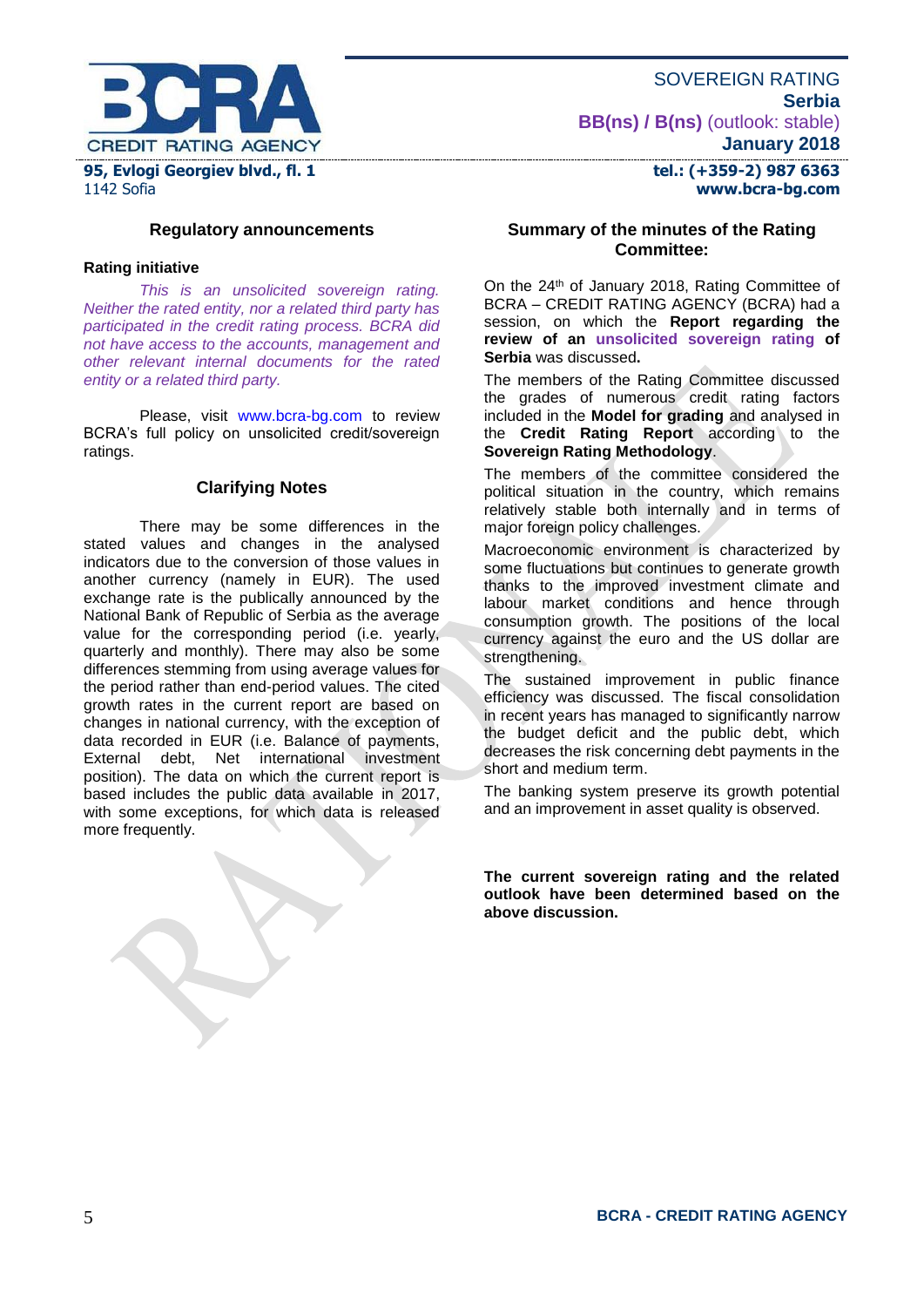

SOVEREIGN RATING **Serbia BB(ns) / B(ns)** (outlook: stable) **January 2018**

> **tel.: (+359-2) 987 6363 www.bcra-bg.com**

# **Regulatory announcements**

#### **Rating initiative**

*This is an unsolicited sovereign rating. Neither the rated entity, nor a related third party has participated in the credit rating process. BCRA did not have access to the accounts, management and other relevant internal documents for the rated entity or a related third party.*

Please, visit [www.bcra-bg.com](http://www.bcra-bg.com/) to review BCRA's full policy on unsolicited credit/sovereign ratings.

#### **Clarifying Notes**

There may be some differences in the stated values and changes in the analysed indicators due to the conversion of those values in another currency (namely in EUR). The used exchange rate is the publically announced by the National Bank of Republic of Serbia as the average value for the corresponding period (i.e. yearly, quarterly and monthly). There may also be some differences stemming from using average values for the period rather than end-period values. The cited growth rates in the current report are based on changes in national currency, with the exception of data recorded in EUR (i.e. Balance of payments,<br>External debt. Net international investment international investment position). The data on which the current report is based includes the public data available in 2017, with some exceptions, for which data is released more frequently.

#### **Summary of the minutes of the Rating Committee:**

On the 24<sup>th</sup> of January 2018, Rating Committee of BCRA – CREDIT RATING AGENCY (BCRA) had a session, on which the **Report regarding the review of an unsolicited sovereign rating of Serbia** was discussed**.**

The members of the Rating Committee discussed the grades of numerous credit rating factors included in the **Model for grading** and analysed in the **Credit Rating Report** according to the **Sovereign Rating Methodology**.

The members of the committee considered the political situation in the country, which remains relatively stable both internally and in terms of major foreign policy challenges.

Macroeconomic environment is characterized by some fluctuations but continues to generate growth thanks to the improved investment climate and labour market conditions and hence through consumption growth. The positions of the local currency against the euro and the US dollar are strengthening.

The sustained improvement in public finance efficiency was discussed. The fiscal consolidation in recent years has managed to significantly narrow the budget deficit and the public debt, which decreases the risk concerning debt payments in the short and medium term.

The banking system preserve its growth potential and an improvement in asset quality is observed.

**The current sovereign rating and the related outlook have been determined based on the above discussion.**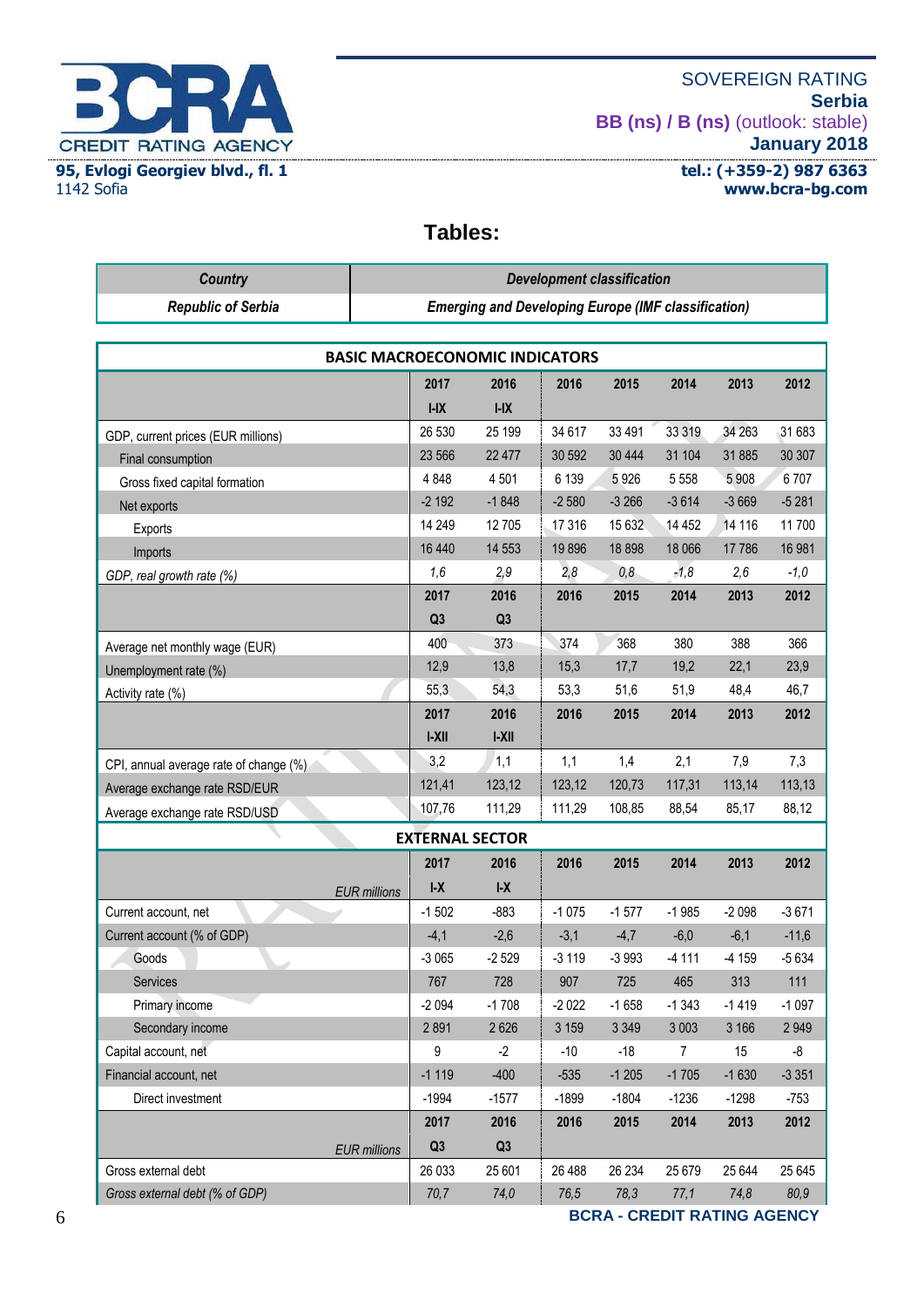

## SOVEREIGN RATING **Serbia BB (ns) / B (ns)** (outlook: stable) **January 2018**

**tel.: (+359-2) 987 6363 www.bcra-bg.com** 

# **Tables:**

| <b>Country</b>                          | <b>Development classification</b>                          |                        |         |         |         |         |         |  |  |
|-----------------------------------------|------------------------------------------------------------|------------------------|---------|---------|---------|---------|---------|--|--|
| <b>Republic of Serbia</b>               | <b>Emerging and Developing Europe (IMF classification)</b> |                        |         |         |         |         |         |  |  |
|                                         |                                                            |                        |         |         |         |         |         |  |  |
| <b>BASIC MACROECONOMIC INDICATORS</b>   |                                                            |                        |         |         |         |         |         |  |  |
|                                         | 2017                                                       | 2016                   | 2016    | 2015    | 2014    | 2013    | 2012    |  |  |
|                                         | $I-IX$                                                     | $I-IX$                 |         |         |         |         |         |  |  |
| GDP, current prices (EUR millions)      | 26 530                                                     | 25 199                 | 34 617  | 33 4 91 | 33 319  | 34 26 3 | 31 683  |  |  |
| Final consumption                       | 23 566                                                     | 22 477                 | 30 592  | 30 4 44 | 31 104  | 31 885  | 30 30 7 |  |  |
| Gross fixed capital formation           | 4848                                                       | 4501                   | 6 1 3 9 | 5926    | 5 5 5 8 | 5 9 0 8 | 6707    |  |  |
| Net exports                             | $-2192$                                                    | $-1848$                | $-2580$ | $-3266$ | $-3614$ | $-3669$ | $-5281$ |  |  |
| Exports                                 | 14 249                                                     | 12705                  | 17 316  | 15 632  | 14 452  | 14 116  | 11700   |  |  |
| Imports                                 | 16 440                                                     | 14 5 53                | 19896   | 18898   | 18 066  | 17786   | 16 981  |  |  |
| GDP, real growth rate (%)               | 1,6                                                        | 2,9                    | 2,8     | 0,8     | $-1,8$  | 2,6     | $-1,0$  |  |  |
|                                         | 2017                                                       | 2016                   | 2016    | 2015    | 2014    | 2013    | 2012    |  |  |
|                                         | Q <sub>3</sub>                                             | Q <sub>3</sub>         |         |         |         |         |         |  |  |
| Average net monthly wage (EUR)          | 400                                                        | 373                    | 374     | 368     | 380     | 388     | 366     |  |  |
| Unemployment rate (%)                   | 12,9                                                       | 13,8                   | 15,3    | 17,7    | 19,2    | 22,1    | 23,9    |  |  |
| Activity rate (%)                       | 55,3                                                       | 54,3                   | 53,3    | 51,6    | 51,9    | 48,4    | 46,7    |  |  |
|                                         | 2017                                                       | 2016                   | 2016    | 2015    | 2014    | 2013    | 2012    |  |  |
|                                         | $ -X  $                                                    | AX                     |         |         |         |         |         |  |  |
| CPI, annual average rate of change (%). | 3,2                                                        | 1,1                    | 1,1     | 1,4     | 2,1     | 7,9     | 7,3     |  |  |
| Average exchange rate RSD/EUR           | 121,41                                                     | 123,12                 | 123,12  | 120,73  | 117,31  | 113,14  | 113,13  |  |  |
| Average exchange rate RSD/USD           | 107,76                                                     | 111,29                 | 111,29  | 108,85  | 88,54   | 85,17   | 88,12   |  |  |
|                                         |                                                            | <b>EXTERNAL SECTOR</b> |         |         |         |         |         |  |  |
|                                         | 2017                                                       | 2016                   | 2016    | 2015    | 2014    | 2013    | 2012    |  |  |
|                                         | $I - X$<br><b>EUR</b> millions                             | I-X                    |         |         |         |         |         |  |  |
| Current account, net                    | $-1502$                                                    | $-883$                 | $-1075$ | $-1577$ | $-1985$ | $-2098$ | $-3671$ |  |  |
| Current account (% of GDP)              | $-4,1$                                                     | $-2,6$                 | $-3,1$  | $-4,7$  | $-6,0$  | $-6,1$  | $-11,6$ |  |  |
| Goods                                   | -3 065                                                     | $-2529$                | -3 119  | -3 993  | -4 111  | -4 159  | -5 634  |  |  |
| Services                                | 767                                                        | 728                    | 907     | 725     | 465     | 313     | 111     |  |  |
| Primary income                          | $-2094$                                                    | $-1708$                | $-2022$ | $-1658$ | $-1343$ | $-1419$ | $-1097$ |  |  |
| Secondary income                        | 2891                                                       | 2626                   | 3 1 5 9 | 3 3 4 9 | 3 0 0 3 | 3 166   | 2949    |  |  |
| Capital account, net                    | 9                                                          | $-2$                   | $-10$   | $-18$   | 7       | 15      | -8      |  |  |
| Financial account, net                  | $-1119$                                                    | $-400$                 | $-535$  | $-1205$ | $-1705$ | $-1630$ | $-3351$ |  |  |
| Direct investment                       | $-1994$                                                    | $-1577$                | $-1899$ | $-1804$ | $-1236$ | $-1298$ | -753    |  |  |
|                                         | 2017                                                       | 2016                   | 2016    | 2015    | 2014    | 2013    | 2012    |  |  |
|                                         | Q3<br><b>EUR</b> millions                                  | Q3                     |         |         |         |         |         |  |  |
| Gross external debt                     | 26 033                                                     | 25 601                 | 26 488  | 26 234  | 25 679  | 25 644  | 25 645  |  |  |
| Gross external debt (% of GDP)          | 70,7                                                       | 74,0                   | 76,5    | 78,3    | 77,1    | 74,8    | 80,9    |  |  |

6 **BCRA - CREDIT RATING AGENCY**